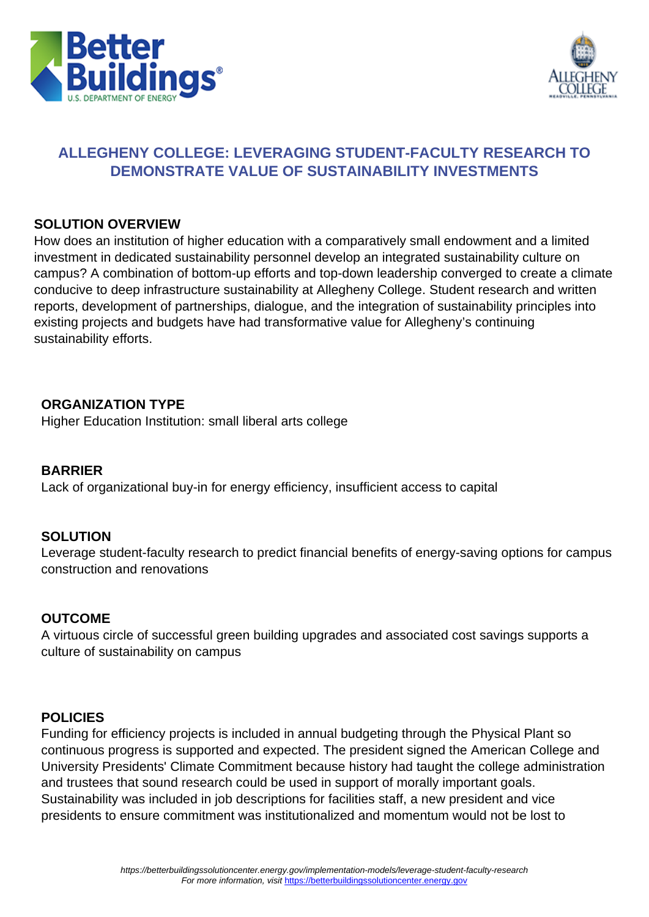



## **ALLEGHENY COLLEGE: LEVERAGING STUDENT-FACULTY RESEARCH TO DEMONSTRATE VALUE OF SUSTAINABILITY INVESTMENTS**

#### **SOLUTION OVERVIEW**

How does an institution of higher education with a comparatively small endowment and a limited investment in dedicated sustainability personnel develop an integrated sustainability culture on campus? A combination of bottom-up efforts and top-down leadership converged to create a climate conducive to deep infrastructure sustainability at Allegheny College. Student research and written reports, development of partnerships, dialogue, and the integration of sustainability principles into existing projects and budgets have had transformative value for Allegheny's continuing sustainability efforts.

### **ORGANIZATION TYPE**

Higher Education Institution: small liberal arts college

### **BARRIER**

Lack of organizational buy-in for energy efficiency, insufficient access to capital

#### **SOLUTION**

Leverage student-faculty research to predict financial benefits of energy-saving options for campus construction and renovations

### **OUTCOME**

A virtuous circle of successful green building upgrades and associated cost savings supports a culture of sustainability on campus

### **POLICIES**

Funding for efficiency projects is included in annual budgeting through the Physical Plant so continuous progress is supported and expected. The president signed the American College and University Presidents' Climate Commitment because history had taught the college administration and trustees that sound research could be used in support of morally important goals. Sustainability was included in job descriptions for facilities staff, a new president and vice presidents to ensure commitment was institutionalized and momentum would not be lost to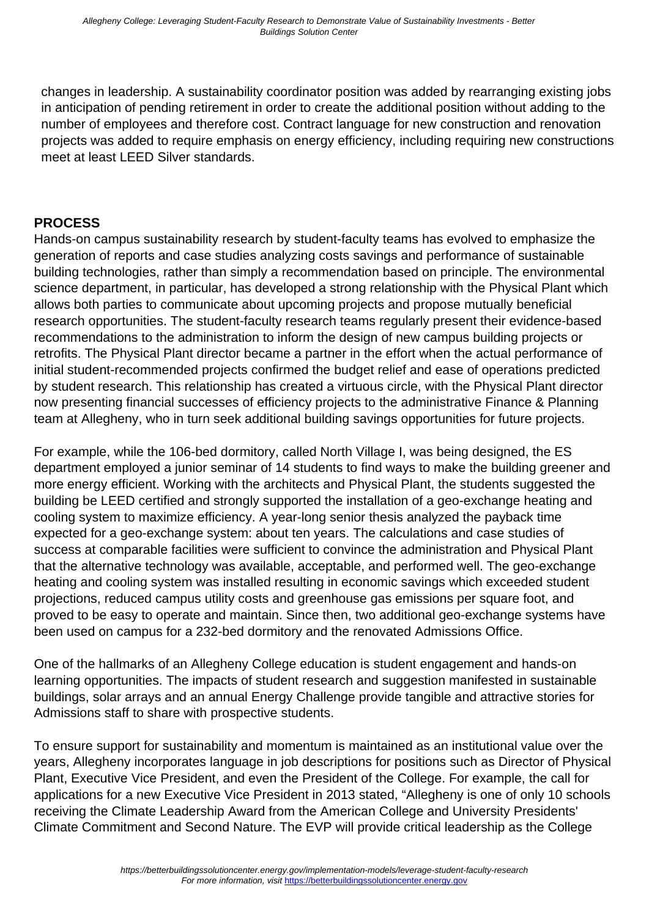changes in leadership. A sustainability coordinator position was added by rearranging existing jobs in anticipation of pending retirement in order to create the additional position without adding to the number of employees and therefore cost. Contract language for new construction and renovation projects was added to require emphasis on energy efficiency, including requiring new constructions meet at least LEED Silver standards.

## **PROCESS**

Hands-on campus sustainability research by student-faculty teams has evolved to emphasize the generation of reports and case studies analyzing costs savings and performance of sustainable building technologies, rather than simply a recommendation based on principle. The environmental science department, in particular, has developed a strong relationship with the Physical Plant which allows both parties to communicate about upcoming projects and propose mutually beneficial research opportunities. The student-faculty research teams regularly present their evidence-based recommendations to the administration to inform the design of new campus building projects or retrofits. The Physical Plant director became a partner in the effort when the actual performance of initial student-recommended projects confirmed the budget relief and ease of operations predicted by student research. This relationship has created a virtuous circle, with the Physical Plant director now presenting financial successes of efficiency projects to the administrative Finance & Planning team at Allegheny, who in turn seek additional building savings opportunities for future projects.

For example, while the 106-bed dormitory, called North Village I, was being designed, the ES department employed a junior seminar of 14 students to find ways to make the building greener and more energy efficient. Working with the architects and Physical Plant, the students suggested the building be LEED certified and strongly supported the installation of a geo-exchange heating and cooling system to maximize efficiency. A year-long senior thesis analyzed the payback time expected for a geo-exchange system: about ten years. The calculations and case studies of success at comparable facilities were sufficient to convince the administration and Physical Plant that the alternative technology was available, acceptable, and performed well. The geo-exchange heating and cooling system was installed resulting in economic savings which exceeded student projections, reduced campus utility costs and greenhouse gas emissions per square foot, and proved to be easy to operate and maintain. Since then, two additional geo-exchange systems have been used on campus for a 232-bed dormitory and the renovated Admissions Office.

One of the hallmarks of an Allegheny College education is student engagement and hands-on learning opportunities. The impacts of student research and suggestion manifested in sustainable buildings, solar arrays and an annual Energy Challenge provide tangible and attractive stories for Admissions staff to share with prospective students.

To ensure support for sustainability and momentum is maintained as an institutional value over the years, Allegheny incorporates language in job descriptions for positions such as Director of Physical Plant, Executive Vice President, and even the President of the College. For example, the call for applications for a new Executive Vice President in 2013 stated, "Allegheny is one of only 10 schools receiving the Climate Leadership Award from the American College and University Presidents' Climate Commitment and Second Nature. The EVP will provide critical leadership as the College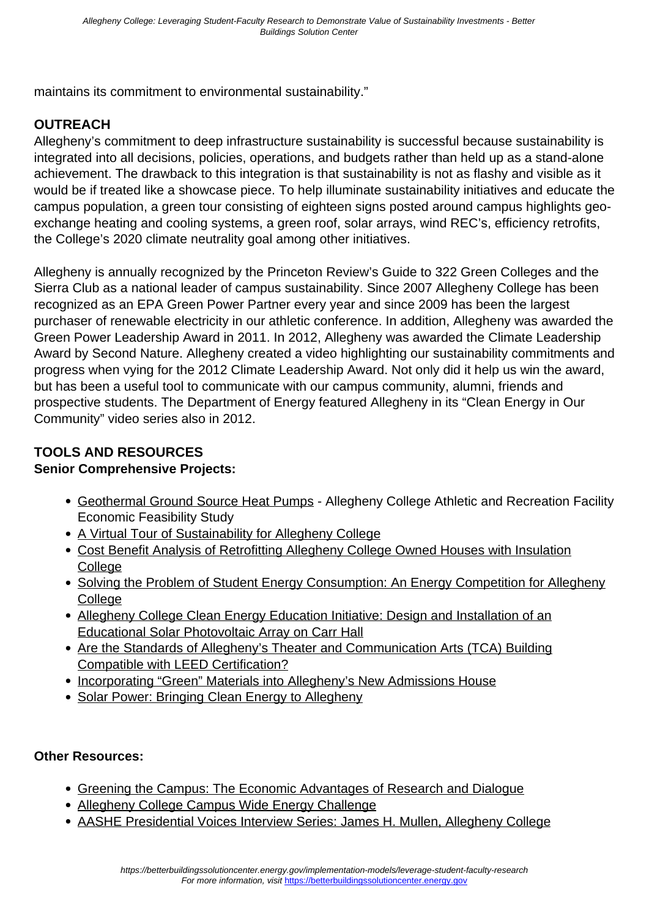maintains its commitment to environmental sustainability."

## **OUTREACH**

Allegheny's commitment to deep infrastructure sustainability is successful because sustainability is integrated into all decisions, policies, operations, and budgets rather than held up as a stand-alone achievement. The drawback to this integration is that sustainability is not as flashy and visible as it would be if treated like a showcase piece. To help illuminate sustainability initiatives and educate the campus population, a green tour consisting of eighteen signs posted around campus highlights geoexchange heating and cooling systems, a green roof, solar arrays, wind REC's, efficiency retrofits, the College's 2020 climate neutrality goal among other initiatives.

Allegheny is annually recognized by the Princeton Review's Guide to 322 Green Colleges and the Sierra Club as a national leader of campus sustainability. Since 2007 Allegheny College has been recognized as an EPA Green Power Partner every year and since 2009 has been the largest purchaser of renewable electricity in our athletic conference. In addition, Allegheny was awarded the Green Power Leadership Award in 2011. In 2012, Allegheny was awarded the Climate Leadership Award by Second Nature. Allegheny created a video highlighting our sustainability commitments and progress when vying for the 2012 Climate Leadership Award. Not only did it help us win the award, but has been a useful tool to communicate with our campus community, alumni, friends and prospective students. The Department of Energy featured Allegheny in its "Clean Energy in Our Community" video series also in 2012.

# **TOOLS AND RESOURCES**

### **Senior Comprehensive Projects:**

- [Geothermal Ground Source Heat Pumps](http://sites.allegheny.edu/envsci/abstracts/1995-senior-project-abstracts/)  Allegheny College Athletic and Recreation Facility Economic Feasibility Study
- [A Virtual Tour of Sustainability for Allegheny College](http://sites.allegheny.edu/envsci/abstracts/2011-project-abstracts/)
- [Cost Benefit Analysis of Retrofitting Allegheny College Owned Houses with Insulation](http://sites.allegheny.edu/envsci/abstracts/2011-project-abstracts/) **[College](http://sites.allegheny.edu/envsci/abstracts/2011-project-abstracts/)**
- [Solving the Problem of Student Energy Consumption: An Energy Competition for Allegheny](http://sites.allegheny.edu/envsci/abstracts/2010-project-abstracts/) **[College](http://sites.allegheny.edu/envsci/abstracts/2010-project-abstracts/)**
- [Allegheny College Clean Energy Education Initiative: Design and Installation of an](http://sites.allegheny.edu/envsci/abstracts/2011-project-abstracts/) [Educational Solar Photovoltaic Array on Carr Hall](http://sites.allegheny.edu/envsci/abstracts/2011-project-abstracts/)
- [Are the Standards of Allegheny's Theater and Communication Arts \(TCA\) Building](http://sites.allegheny.edu/envsci/abstracts/2006-senior-project-abstracts/) [Compatible with LEED Certification?](http://sites.allegheny.edu/envsci/abstracts/2006-senior-project-abstracts/)
- [Incorporating "Green" Materials into Allegheny's New Admissions House](https://sakai.allegheny.edu/access/content/group/00093ca1-5eaf-4a09-be6e-f1bcb5815f70/2009pdfs/conti_arielle.pdf)
- [Solar Power: Bringing Clean Energy to Allegheny](http://sites.allegheny.edu/civicengagement/civic-engagement-newsletter/solar-power-bringing-clean-energy-to-allegheny/)

### **Other Resources:**

- [Greening the Campus: The Economic Advantages of Research and Dialogue](http://sites.allegheny.edu/green/rio/)
- [Allegheny College Campus Wide Energy Challenge](http://sitesmedia.s3.amazonaws.com/ericpallant/files/2011/11/AASHE.2011.pdf)
- [AASHE Presidential Voices Interview Series: James H. Mullen, Allegheny College](http://www.aashe.org/blog/presidential-voices-interview-series-james-h-mullen-allegheny-college)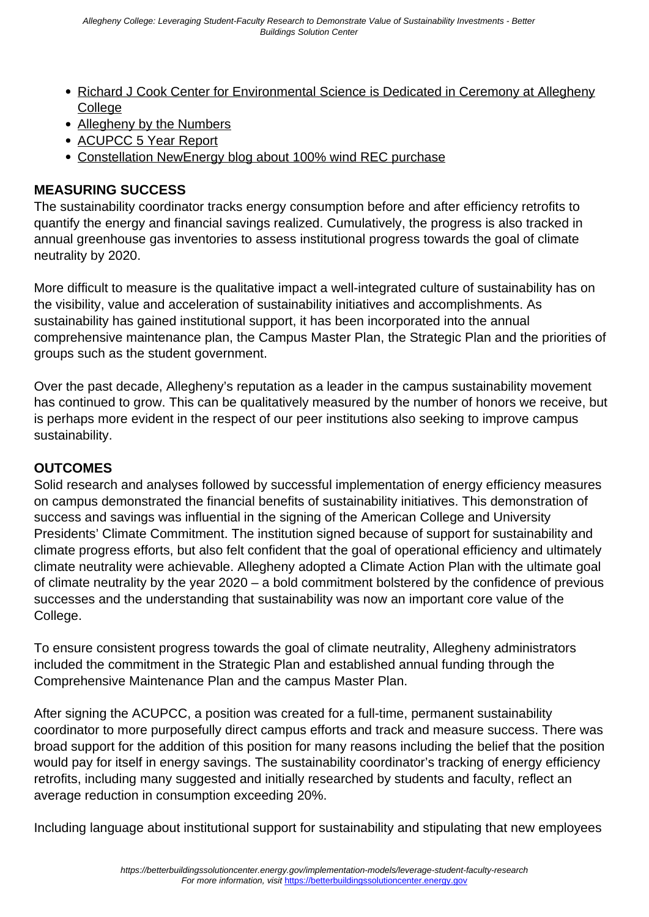- [Richard J Cook Center for Environmental Science is Dedicated in Ceremony at Allegheny](http://sites.allegheny.edu/news/2012/10/12/richard-j-cook-center-for-environmental-science-is-dedicated-in-ceremony-at-allegheny-college/) **[College](http://sites.allegheny.edu/news/2012/10/12/richard-j-cook-center-for-environmental-science-is-dedicated-in-ceremony-at-allegheny-college/)**
- [Allegheny by the Numbers](http://www.youtube.com/watch?v=pVtOciA00hs)
- [ACUPCC 5 Year Report](http://www.presidentsclimatecommitment.org/reporting/annual-report/five-year-report)
- [Constellation NewEnergy blog about 100% wind REC purchase](http://blogs.constellation.com/energy4business/2012/03/13/creative-green-energy-strategies-lead-to-national-recognition-for-liberal-arts-college-in-pa/)

## **MEASURING SUCCESS**

The sustainability coordinator tracks energy consumption before and after efficiency retrofits to quantify the energy and financial savings realized. Cumulatively, the progress is also tracked in annual greenhouse gas inventories to assess institutional progress towards the goal of climate neutrality by 2020.

More difficult to measure is the qualitative impact a well-integrated culture of sustainability has on the visibility, value and acceleration of sustainability initiatives and accomplishments. As sustainability has gained institutional support, it has been incorporated into the annual comprehensive maintenance plan, the Campus Master Plan, the Strategic Plan and the priorities of groups such as the student government.

Over the past decade, Allegheny's reputation as a leader in the campus sustainability movement has continued to grow. This can be qualitatively measured by the number of honors we receive, but is perhaps more evident in the respect of our peer institutions also seeking to improve campus sustainability.

### **OUTCOMES**

Solid research and analyses followed by successful implementation of energy efficiency measures on campus demonstrated the financial benefits of sustainability initiatives. This demonstration of success and savings was influential in the signing of the American College and University Presidents' Climate Commitment. The institution signed because of support for sustainability and climate progress efforts, but also felt confident that the goal of operational efficiency and ultimately climate neutrality were achievable. Allegheny adopted a Climate Action Plan with the ultimate goal of climate neutrality by the year 2020 – a bold commitment bolstered by the confidence of previous successes and the understanding that sustainability was now an important core value of the College.

To ensure consistent progress towards the goal of climate neutrality, Allegheny administrators included the commitment in the Strategic Plan and established annual funding through the Comprehensive Maintenance Plan and the campus Master Plan.

After signing the ACUPCC, a position was created for a full-time, permanent sustainability coordinator to more purposefully direct campus efforts and track and measure success. There was broad support for the addition of this position for many reasons including the belief that the position would pay for itself in energy savings. The sustainability coordinator's tracking of energy efficiency retrofits, including many suggested and initially researched by students and faculty, reflect an average reduction in consumption exceeding 20%.

Including language about institutional support for sustainability and stipulating that new employees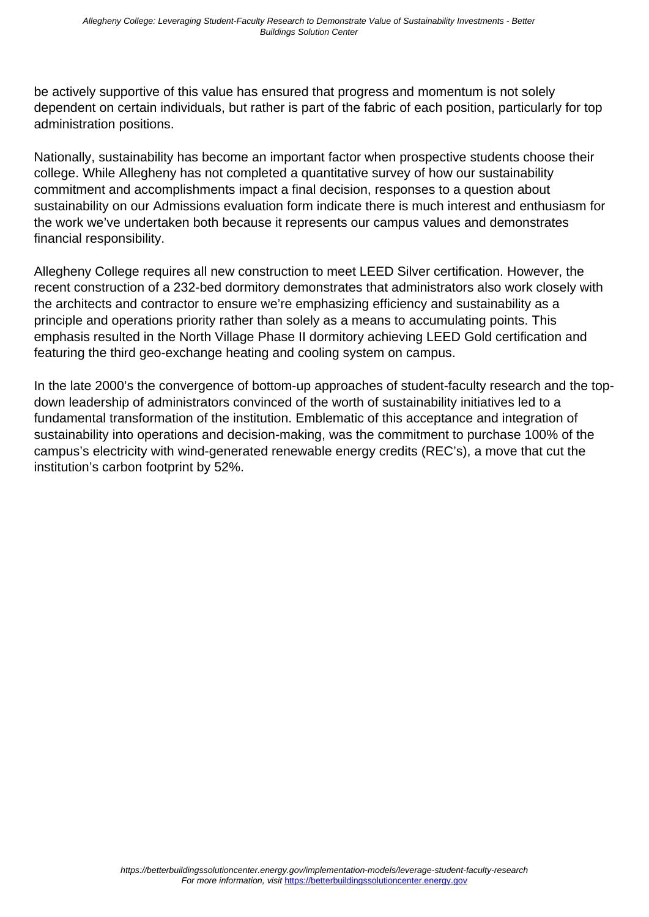be actively supportive of this value has ensured that progress and momentum is not solely dependent on certain individuals, but rather is part of the fabric of each position, particularly for top administration positions.

Nationally, sustainability has become an important factor when prospective students choose their college. While Allegheny has not completed a quantitative survey of how our sustainability commitment and accomplishments impact a final decision, responses to a question about sustainability on our Admissions evaluation form indicate there is much interest and enthusiasm for the work we've undertaken both because it represents our campus values and demonstrates financial responsibility.

Allegheny College requires all new construction to meet LEED Silver certification. However, the recent construction of a 232-bed dormitory demonstrates that administrators also work closely with the architects and contractor to ensure we're emphasizing efficiency and sustainability as a principle and operations priority rather than solely as a means to accumulating points. This emphasis resulted in the North Village Phase II dormitory achieving LEED Gold certification and featuring the third geo-exchange heating and cooling system on campus.

In the late 2000's the convergence of bottom-up approaches of student-faculty research and the topdown leadership of administrators convinced of the worth of sustainability initiatives led to a fundamental transformation of the institution. Emblematic of this acceptance and integration of sustainability into operations and decision-making, was the commitment to purchase 100% of the campus's electricity with wind-generated renewable energy credits (REC's), a move that cut the institution's carbon footprint by 52%.